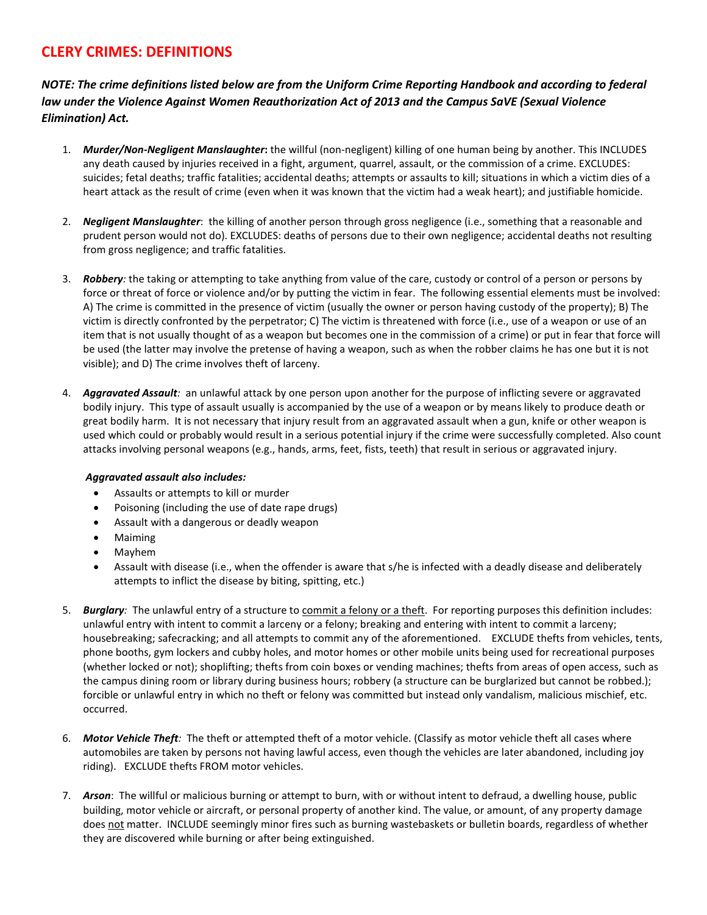## **CLERY CRIMES: DEFINITIONS**

*NOTE: The crime definitions listed below are from the Uniform Crime Reporting Handbook and according to federal law under the Violence Against Women Reauthorization Act of 2013 and the Campus SaVE (Sexual Violence Elimination) Act.*

- 1. *Murder/Non-Negligent Manslaughter***:** the willful (non-negligent) killing of one human being by another. This INCLUDES any death caused by injuries received in a fight, argument, quarrel, assault, or the commission of a crime. EXCLUDES: suicides; fetal deaths; traffic fatalities; accidental deaths; attempts or assaults to kill; situations in which a victim dies of a heart attack as the result of crime (even when it was known that the victim had a weak heart); and justifiable homicide.
- 2. *Negligent Manslaughter*: the killing of another person through gross negligence (i.e., something that a reasonable and prudent person would not do). EXCLUDES: deaths of persons due to their own negligence; accidental deaths not resulting from gross negligence; and traffic fatalities.
- 3. *Robbery:* the taking or attempting to take anything from value of the care, custody or control of a person or persons by force or threat of force or violence and/or by putting the victim in fear. The following essential elements must be involved: A) The crime is committed in the presence of victim (usually the owner or person having custody of the property); B) The victim is directly confronted by the perpetrator; C) The victim is threatened with force (i.e., use of a weapon or use of an item that is not usually thought of as a weapon but becomes one in the commission of a crime) or put in fear that force will be used (the latter may involve the pretense of having a weapon, such as when the robber claims he has one but it is not visible); and D) The crime involves theft of larceny.
- 4. *Aggravated Assault:* an unlawful attack by one person upon another for the purpose of inflicting severe or aggravated bodily injury. This type of assault usually is accompanied by the use of a weapon or by means likely to produce death or great bodily harm. It is not necessary that injury result from an aggravated assault when a gun, knife or other weapon is used which could or probably would result in a serious potential injury if the crime were successfully completed. Also count attacks involving personal weapons (e.g., hands, arms, feet, fists, teeth) that result in serious or aggravated injury.

## *Aggravated assault also includes:*

- Assaults or attempts to kill or murder
- Poisoning (including the use of date rape drugs)
- Assault with a dangerous or deadly weapon
- Maiming
- Mayhem
- Assault with disease (i.e., when the offender is aware that s/he is infected with a deadly disease and deliberately attempts to inflict the disease by biting, spitting, etc.)
- 5. *Burglary:* The unlawful entry of a structure to commit a felony or a theft. For reporting purposes this definition includes: unlawful entry with intent to commit a larceny or a felony; breaking and entering with intent to commit a larceny; housebreaking; safecracking; and all attempts to commit any of the aforementioned. EXCLUDE thefts from vehicles, tents, phone booths, gym lockers and cubby holes, and motor homes or other mobile units being used for recreational purposes (whether locked or not); shoplifting; thefts from coin boxes or vending machines; thefts from areas of open access, such as the campus dining room or library during business hours; robbery (a structure can be burglarized but cannot be robbed.); forcible or unlawful entry in which no theft or felony was committed but instead only vandalism, malicious mischief, etc. occurred.
- 6. *Motor Vehicle Theft:* The theft or attempted theft of a motor vehicle. (Classify as motor vehicle theft all cases where automobiles are taken by persons not having lawful access, even though the vehicles are later abandoned, including joy riding). EXCLUDE thefts FROM motor vehicles.
- 7. *Arson*: The willful or malicious burning or attempt to burn, with or without intent to defraud, a dwelling house, public building, motor vehicle or aircraft, or personal property of another kind. The value, or amount, of any property damage does not matter. INCLUDE seemingly minor fires such as burning wastebaskets or bulletin boards, regardless of whether they are discovered while burning or after being extinguished.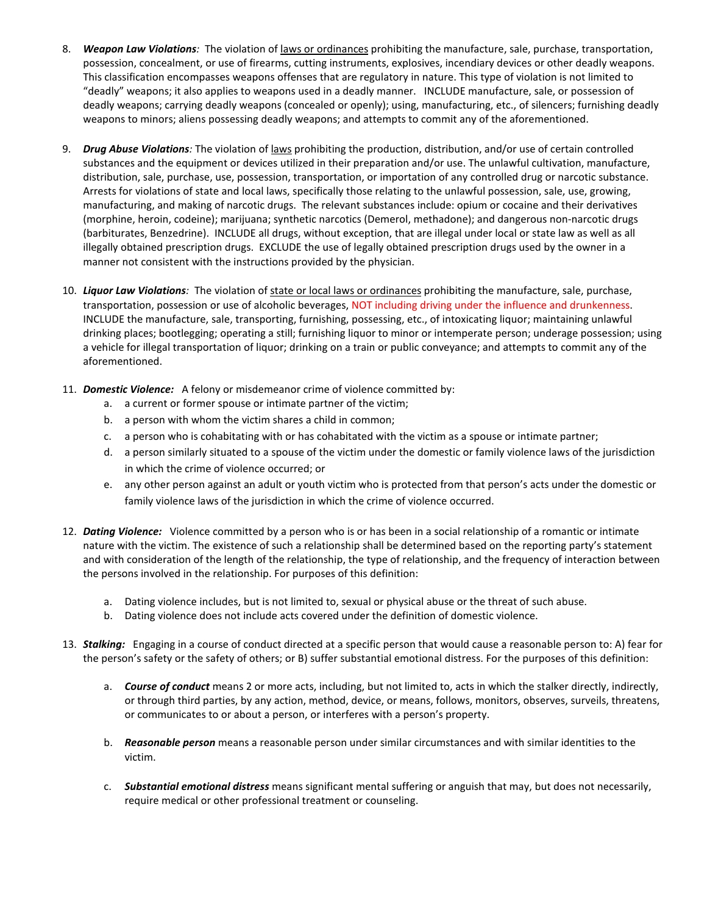- 8. *Weapon Law Violations:* The violation of laws or ordinances prohibiting the manufacture, sale, purchase, transportation, possession, concealment, or use of firearms, cutting instruments, explosives, incendiary devices or other deadly weapons. This classification encompasses weapons offenses that are regulatory in nature. This type of violation is not limited to "deadly" weapons; it also applies to weapons used in a deadly manner. INCLUDE manufacture, sale, or possession of deadly weapons; carrying deadly weapons (concealed or openly); using, manufacturing, etc., of silencers; furnishing deadly weapons to minors; aliens possessing deadly weapons; and attempts to commit any of the aforementioned.
- 9. *Drug Abuse Violations:* The violation of laws prohibiting the production, distribution, and/or use of certain controlled substances and the equipment or devices utilized in their preparation and/or use. The unlawful cultivation, manufacture, distribution, sale, purchase, use, possession, transportation, or importation of any controlled drug or narcotic substance. Arrests for violations of state and local laws, specifically those relating to the unlawful possession, sale, use, growing, manufacturing, and making of narcotic drugs. The relevant substances include: opium or cocaine and their derivatives (morphine, heroin, codeine); marijuana; synthetic narcotics (Demerol, methadone); and dangerous non-narcotic drugs (barbiturates, Benzedrine). INCLUDE all drugs, without exception, that are illegal under local or state law as well as all illegally obtained prescription drugs. EXCLUDE the use of legally obtained prescription drugs used by the owner in a manner not consistent with the instructions provided by the physician.
- 10. *Liquor Law Violations:* The violation of state or local laws or ordinances prohibiting the manufacture, sale, purchase, transportation, possession or use of alcoholic beverages, NOT including driving under the influence and drunkenness. INCLUDE the manufacture, sale, transporting, furnishing, possessing, etc., of intoxicating liquor; maintaining unlawful drinking places; bootlegging; operating a still; furnishing liquor to minor or intemperate person; underage possession; using a vehicle for illegal transportation of liquor; drinking on a train or public conveyance; and attempts to commit any of the aforementioned.
- 11. *Domestic Violence:* A felony or misdemeanor crime of violence committed by:
	- a. a current or former spouse or intimate partner of the victim;
	- b. a person with whom the victim shares a child in common;
	- c. a person who is cohabitating with or has cohabitated with the victim as a spouse or intimate partner;
	- d. a person similarly situated to a spouse of the victim under the domestic or family violence laws of the jurisdiction in which the crime of violence occurred; or
	- e. any other person against an adult or youth victim who is protected from that person's acts under the domestic or family violence laws of the jurisdiction in which the crime of violence occurred.
- 12. *Dating Violence:* Violence committed by a person who is or has been in a social relationship of a romantic or intimate nature with the victim. The existence of such a relationship shall be determined based on the reporting party's statement and with consideration of the length of the relationship, the type of relationship, and the frequency of interaction between the persons involved in the relationship. For purposes of this definition:
	- a. Dating violence includes, but is not limited to, sexual or physical abuse or the threat of such abuse.
	- b. Dating violence does not include acts covered under the definition of domestic violence.
- 13. *Stalking:* Engaging in a course of conduct directed at a specific person that would cause a reasonable person to: A) fear for the person's safety or the safety of others; or B) suffer substantial emotional distress. For the purposes of this definition:
	- a. *Course of conduct* means 2 or more acts, including, but not limited to, acts in which the stalker directly, indirectly, or through third parties, by any action, method, device, or means, follows, monitors, observes, surveils, threatens, or communicates to or about a person, or interferes with a person's property.
	- b. *Reasonable person* means a reasonable person under similar circumstances and with similar identities to the victim.
	- c. *Substantial emotional distress* means significant mental suffering or anguish that may, but does not necessarily, require medical or other professional treatment or counseling.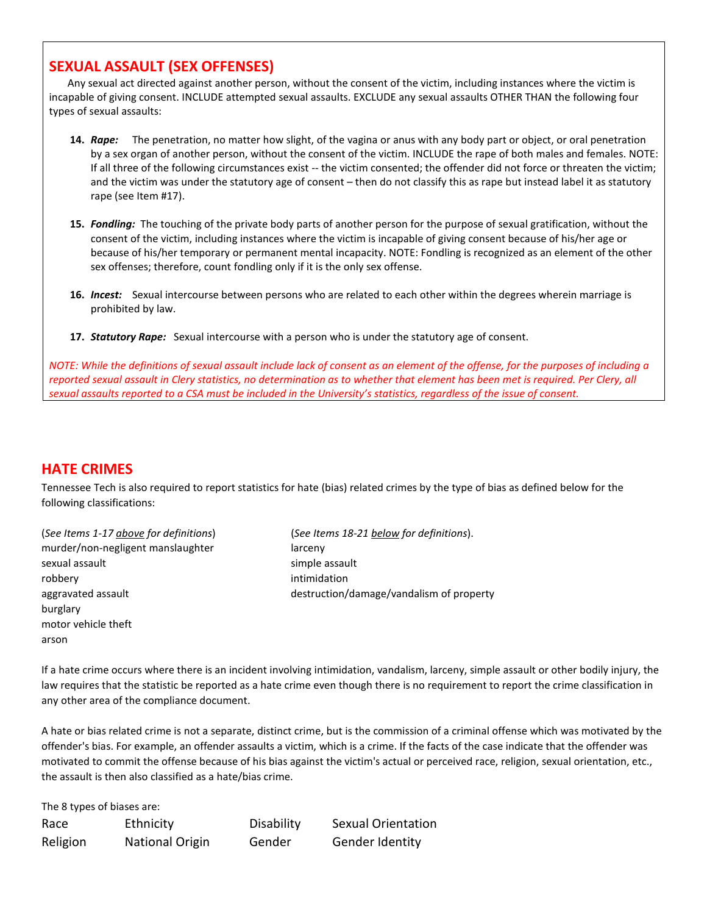## **SEXUAL ASSAULT (SEX OFFENSES)**

 Any sexual act directed against another person, without the consent of the victim, including instances where the victim is incapable of giving consent. INCLUDE attempted sexual assaults. EXCLUDE any sexual assaults OTHER THAN the following four types of sexual assaults:

- **14.** *Rape:* The penetration, no matter how slight, of the vagina or anus with any body part or object, or oral penetration by a sex organ of another person, without the consent of the victim. INCLUDE the rape of both males and females. NOTE: If all three of the following circumstances exist -- the victim consented; the offender did not force or threaten the victim; and the victim was under the statutory age of consent – then do not classify this as rape but instead label it as statutory rape (see Item #17).
- **15.** *Fondling:*The touching of the private body parts of another person for the purpose of sexual gratification, without the consent of the victim, including instances where the victim is incapable of giving consent because of his/her age or because of his/her temporary or permanent mental incapacity. NOTE: Fondling is recognized as an element of the other sex offenses; therefore, count fondling only if it is the only sex offense.
- **16.** *Incest:* Sexual intercourse between persons who are related to each other within the degrees wherein marriage is prohibited by law.
- **17.** *Statutory Rape:* Sexual intercourse with a person who is under the statutory age of consent.

*NOTE: While the definitions of sexual assault include lack of consent as an element of the offense, for the purposes of including a reported sexual assault in Clery statistics, no determination as to whether that element has been met is required. Per Clery, all sexual assaults reported to a CSA must be included in the University's statistics, regardless of the issue of consent.*

## **HATE CRIMES**

Tennessee Tech is also required to report statistics for hate (bias) related crimes by the type of bias as defined below for the following classifications:

murder/non-negligent manslaughter larceny sexual assault simple assault robbery intimidation aggravated assault destruction/damage/vandalism of property burglary motor vehicle theft arson

The 8 types of biases are:

(*See Items 1-17 above for definitions*) (*See Items 18-21 below for definitions*).

If a hate crime occurs where there is an incident involving intimidation, vandalism, larceny, simple assault or other bodily injury, the law requires that the statistic be reported as a hate crime even though there is no requirement to report the crime classification in any other area of the compliance document.

A hate or bias related crime is not a separate, distinct crime, but is the commission of a criminal offense which was motivated by the offender's bias. For example, an offender assaults a victim, which is a crime. If the facts of the case indicate that the offender was motivated to commit the offense because of his bias against the victim's actual or perceived race, religion, sexual orientation, etc., the assault is then also classified as a hate/bias crime.

| THE O LYDES OF DIASES AFT. |                        |            |                           |
|----------------------------|------------------------|------------|---------------------------|
| Race                       | Ethnicity              | Disability | <b>Sexual Orientation</b> |
| Religion                   | <b>National Origin</b> | Gender     | Gender Identity           |